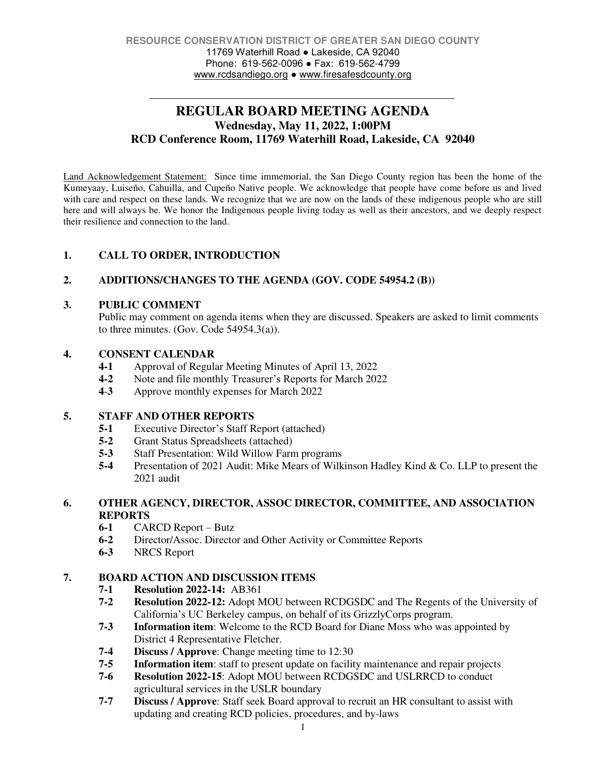# **REGULAR BOARD MEETING AGENDA Wednesday, May 11, 2022, 1:00PM RCD Conference Room, 11769 Waterhill Road, Lakeside, CA 92040**

Land Acknowledgement Statement: Since time immemorial, the San Diego County region has been the home of the Kumeyaay, Luiseño, Cahuilla, and Cupeño Native people. We acknowledge that people have come before us and lived with care and respect on these lands. We recognize that we are now on the lands of these indigenous people who are still here and will always be. We honor the Indigenous people living today as well as their ancestors, and we deeply respect their resilience and connection to the land.

# **1. CALL TO ORDER, INTRODUCTION**

# **2. ADDITIONS/CHANGES TO THE AGENDA (GOV. CODE 54954.2 (B))**

### **3. PUBLIC COMMENT**

Public may comment on agenda items when they are discussed. Speakers are asked to limit comments to three minutes. (Gov. Code 54954.3(a)).

### **4. CONSENT CALENDAR**

- **4-1** Approval of Regular Meeting Minutes of April 13, 2022
- **4-2** Note and file monthly Treasurer's Reports for March 2022
- **4**-**3** Approve monthly expenses for March 2022

# **5. STAFF AND OTHER REPORTS**

- **5-1** Executive Director's Staff Report (attached)
- **5-2** Grant Status Spreadsheets (attached)
- **5-3** Staff Presentation: Wild Willow Farm programs
- **5-4** Presentation of 2021 Audit: Mike Mears of Wilkinson Hadley Kind & Co. LLP to present the 2021 audit

### **6. OTHER AGENCY, DIRECTOR, ASSOC DIRECTOR, COMMITTEE, AND ASSOCIATION REPORTS**

- **6-1** CARCD Report Butz
- **6-2** Director/Assoc. Director and Other Activity or Committee Reports
- **6-3** NRCS Report

# **7. BOARD ACTION AND DISCUSSION ITEMS**

- **7-1 Resolution 2022-14:** AB361
- **7-2 Resolution 2022-12:** Adopt MOU between RCDGSDC and The Regents of the University of California's UC Berkeley campus, on behalf of its GrizzlyCorps program.
- **7-3 Information item**: Welcome to the RCD Board for Diane Moss who was appointed by District 4 Representative Fletcher.
- **7-4 Discuss / Approve:** Change meeting time to 12:30<br>**7-5 Information item:** staff to present update on facility
- **Information item**: staff to present update on facility maintenance and repair projects
- **7-6 Resolution 2022-15**: Adopt MOU between RCDGSDC and USLRRCD to conduct agricultural services in the USLR boundary
- **7-7 Discuss / Approve**: Staff seek Board approval to recruit an HR consultant to assist with updating and creating RCD policies, procedures, and by-laws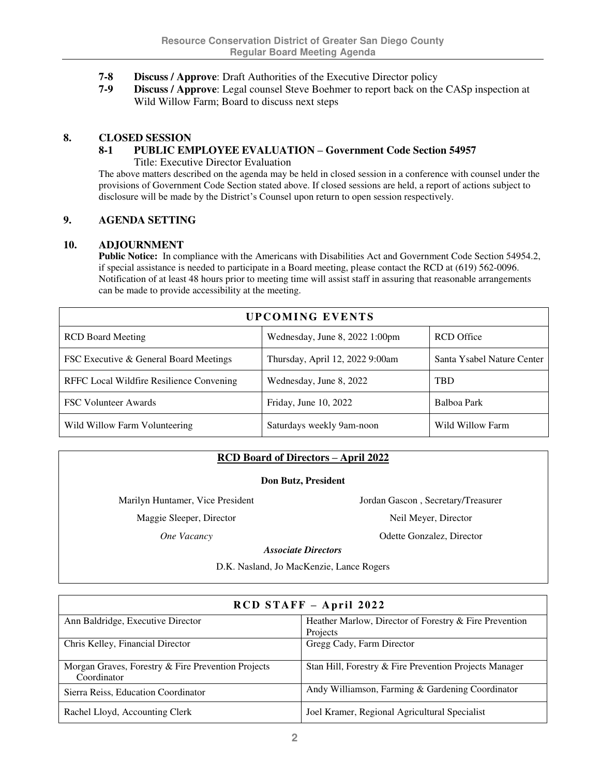- **7-8 Discuss / Approve**: Draft Authorities of the Executive Director policy
- **7-9 Discuss / Approve**: Legal counsel Steve Boehmer to report back on the CASp inspection at Wild Willow Farm; Board to discuss next steps

### **8. CLOSED SESSION**

#### **8-1 PUBLIC EMPLOYEE EVALUATION – Government Code Section 54957** Title: Executive Director Evaluation

The above matters described on the agenda may be held in closed session in a conference with counsel under the provisions of Government Code Section stated above. If closed sessions are held, a report of actions subject to disclosure will be made by the District's Counsel upon return to open session respectively.

### **9. AGENDA SETTING**

#### **10. ADJOURNMENT**

**Public Notice:** In compliance with the Americans with Disabilities Act and Government Code Section 54954.2, if special assistance is needed to participate in a Board meeting, please contact the RCD at (619) 562-0096. Notification of at least 48 hours prior to meeting time will assist staff in assuring that reasonable arrangements can be made to provide accessibility at the meeting.

| <b>UPCOMING EVENTS</b>                   |                                  |                            |
|------------------------------------------|----------------------------------|----------------------------|
| <b>RCD</b> Board Meeting                 | Wednesday, June 8, $2022$ 1:00pm | <b>RCD</b> Office          |
| FSC Executive & General Board Meetings   | Thursday, April 12, 2022 9:00am  | Santa Ysabel Nature Center |
| RFFC Local Wildfire Resilience Convening | Wednesday, June 8, 2022          | <b>TBD</b>                 |
| <b>FSC Volunteer Awards</b>              | Friday, June 10, 2022            | Balboa Park                |
| Wild Willow Farm Volunteering            | Saturdays weekly 9am-noon        | Wild Willow Farm           |

# **RCD Board of Directors – April 2022**

#### **Don Butz, President**

Marilyn Huntamer, Vice President Jordan Gascon , Secretary/Treasurer

Maggie Sleeper, Director Neil Meyer, Director

**One Vacancy Odette Gonzalez, Director** 

*Associate Directors* 

D.K. Nasland, Jo MacKenzie, Lance Rogers

| RCD STAFF - April 2022                                            |                                                        |  |
|-------------------------------------------------------------------|--------------------------------------------------------|--|
| Ann Baldridge, Executive Director                                 | Heather Marlow, Director of Forestry & Fire Prevention |  |
|                                                                   | Projects                                               |  |
| Chris Kelley, Financial Director                                  | Gregg Cady, Farm Director                              |  |
| Morgan Graves, Forestry & Fire Prevention Projects<br>Coordinator | Stan Hill, Forestry & Fire Prevention Projects Manager |  |
| Sierra Reiss, Education Coordinator                               | Andy Williamson, Farming & Gardening Coordinator       |  |
| Rachel Lloyd, Accounting Clerk                                    | Joel Kramer, Regional Agricultural Specialist          |  |